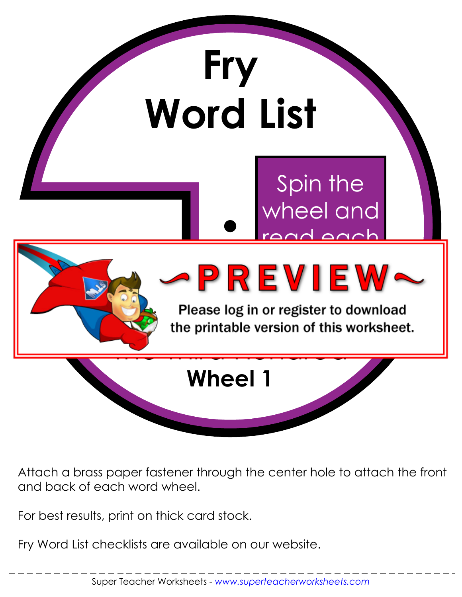

Attach a brass paper fastener through the center hole to attach the front and back of each word wheel.

For best results, print on thick card stock.

Fry Word List checklists are available on our website.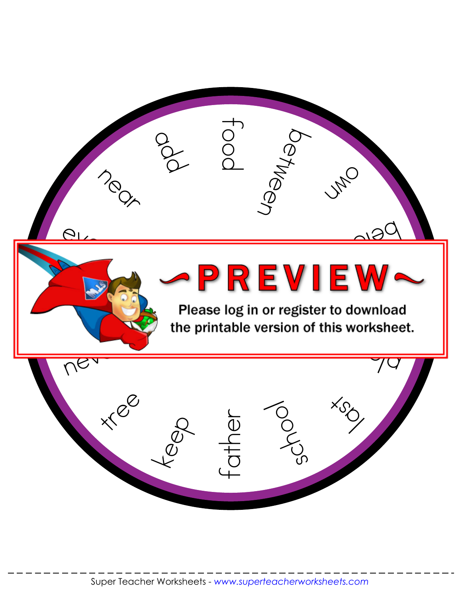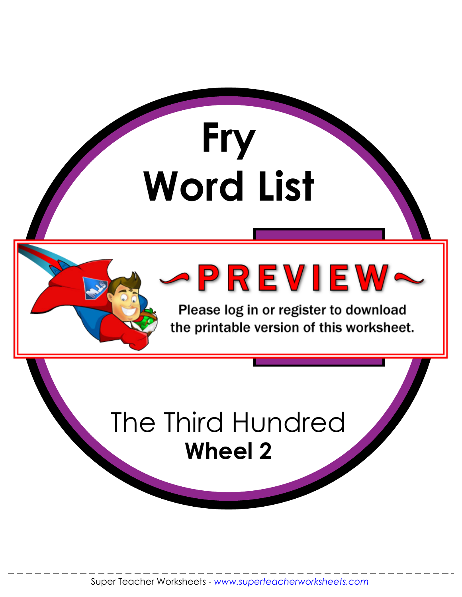

Please log in or register to download the printable version of this worksheet.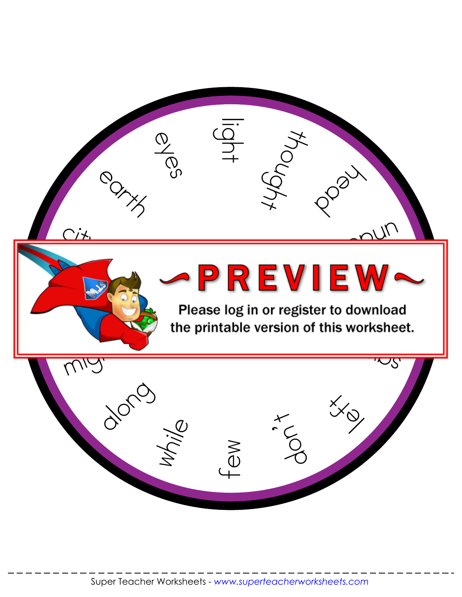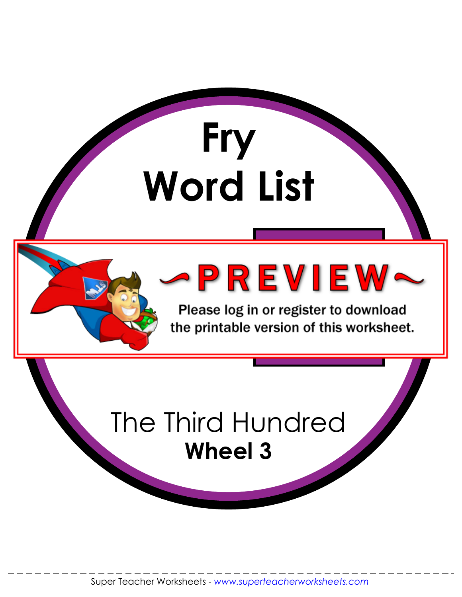

Please log in or register to download the printable version of this worksheet.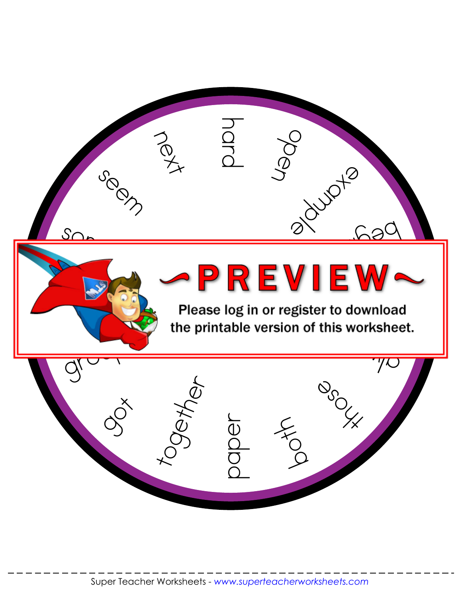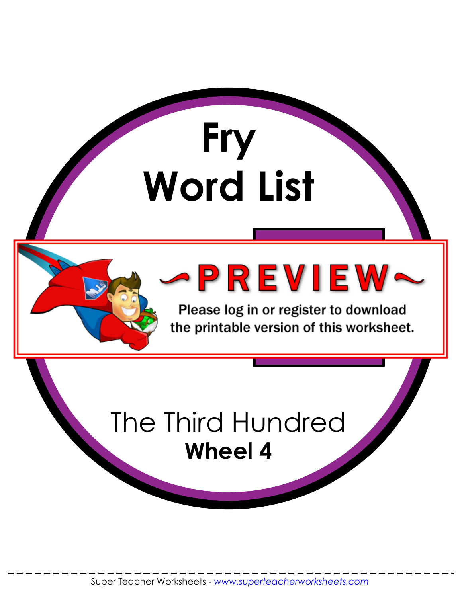

Please log in or register to download the printable version of this worksheet.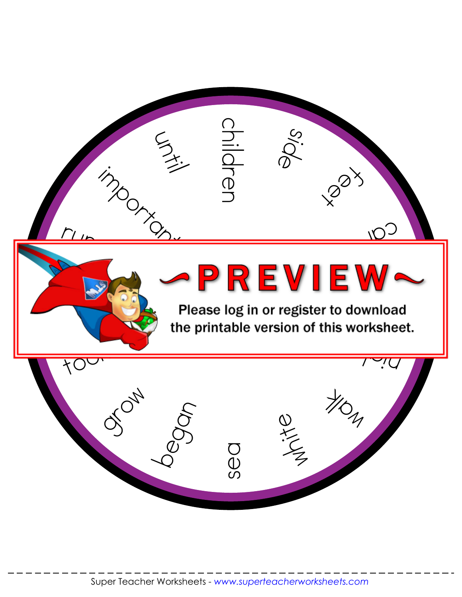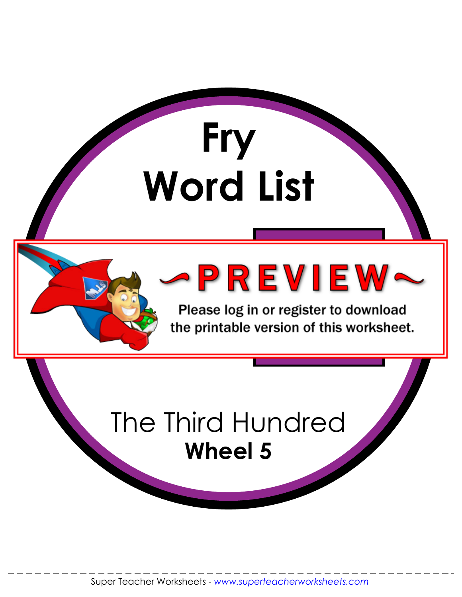

Please log in or register to download the printable version of this worksheet.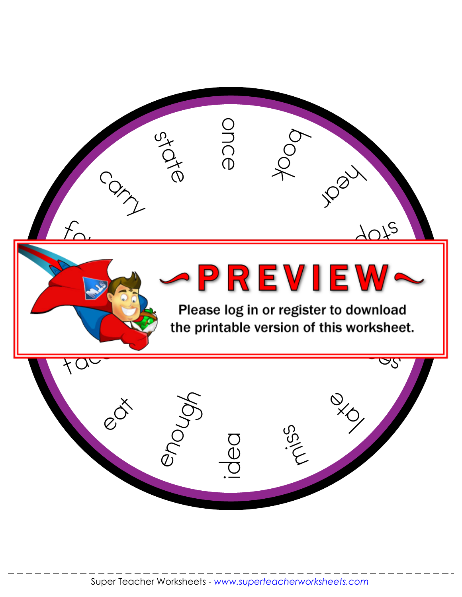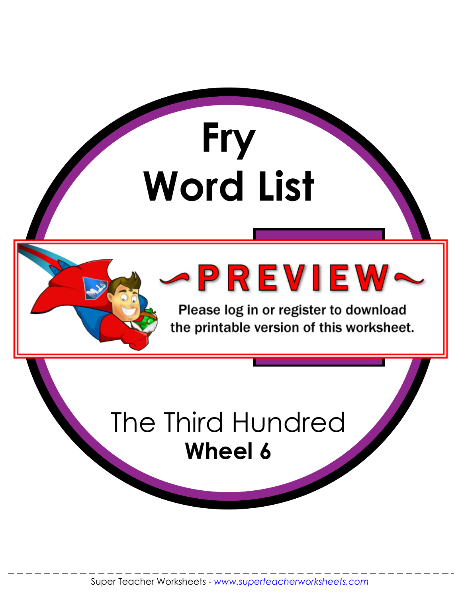

Please log in or register to download the printable version of this worksheet.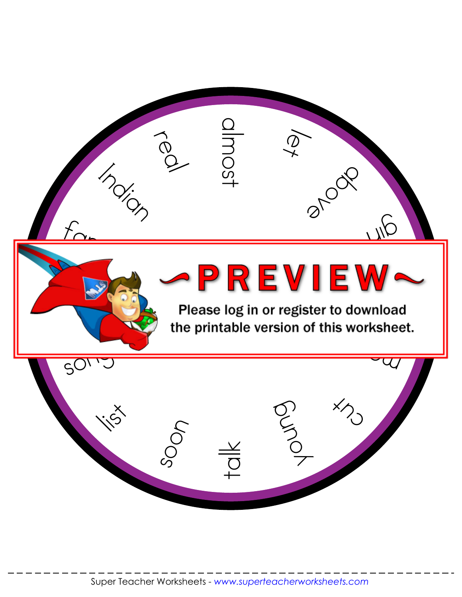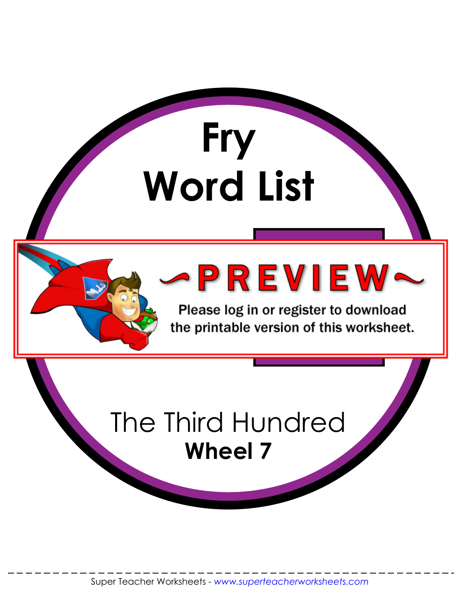

Please log in or register to download the printable version of this worksheet.